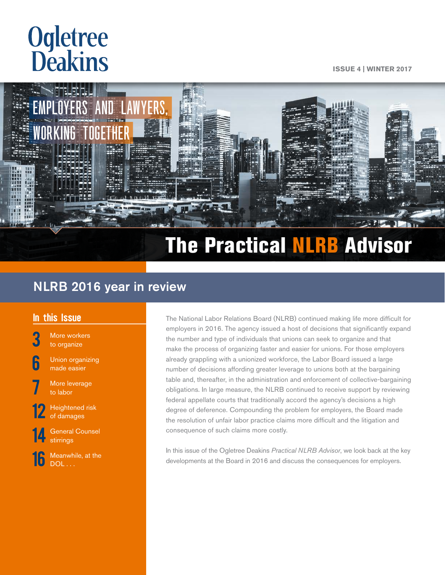# **Ogletree**<br>**Deakins**

**Issue 4 | Winter 2017**



# The Practical NLRB Advisor

### NLRB 2016 year in review

### In this Issue

More workers [to organize](#page-2-0)

**[6](#page-5-0)** Union organizing [made easier](#page-5-0)

More leverage [to labor](#page-6-0)

Heightened risk [of damages](#page-11-0) 

**General Counsel** [stirrings](#page-13-0)

Meanwhile, at the  $DOL$  ...

The National Labor Relations Board (NLRB) continued making life more difficult for employers in 2016. The agency issued a host of decisions that significantly expand the number and type of individuals that unions can seek to organize and that make the process of organizing faster and easier for unions. For those employers already grappling with a unionized workforce, the Labor Board issued a large number of decisions affording greater leverage to unions both at the bargaining table and, thereafter, in the administration and enforcement of collective-bargaining obligations. In large measure, the NLRB continued to receive support by reviewing federal appellate courts that traditionally accord the agency's decisions a high degree of deference. Compounding the problem for employers, the Board made the resolution of unfair labor practice claims more difficult and the litigation and consequence of such claims more costly.

In this issue of the Ogletree Deakins *Practical NLRB Advisor*, we look back at the key developments at the Board in 2016 and discuss the consequences for employers.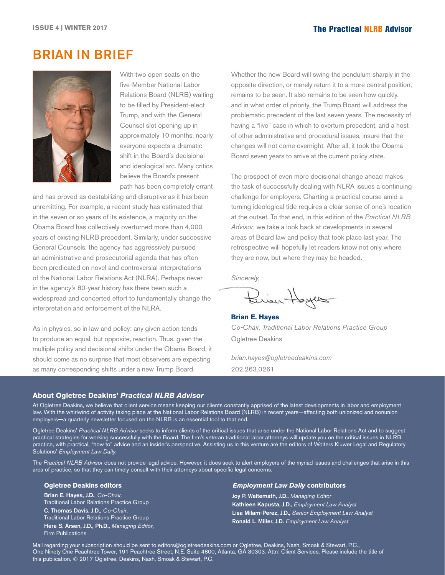### Brian in brief



With two open seats on the five-Member National Labor Relations Board (NLRB) waiting to be filled by President-elect Trump, and with the General Counsel slot opening up in approximately 10 months, nearly everyone expects a dramatic shift in the Board's decisional and ideological arc. Many critics believe the Board's present path has been completely errant

and has proved as destabilizing and disruptive as it has been unremitting. For example, a recent study has estimated that in the seven or so years of its existence, a majority on the Obama Board has collectively overturned more than 4,000 years of existing NLRB precedent. Similarly, under successive General Counsels, the agency has aggressively pursued an administrative and prosecutorial agenda that has often been predicated on novel and controversial interpretations of the National Labor Relations Act (NLRA). Perhaps never in the agency's 80-year history has there been such a widespread and concerted effort to fundamentally change the interpretation and enforcement of the NLRA.

As in physics, so in law and policy: any given action tends to produce an equal, but opposite, reaction. Thus, given the multiple policy and decisional shifts under the Obama Board, it should come as no surprise that most observers are expecting as many corresponding shifts under a new Trump Board.

Whether the new Board will swing the pendulum sharply in the opposite direction, or merely return it to a more central position, remains to be seen. It also remains to be seen how quickly, and in what order of priority, the Trump Board will address the problematic precedent of the last seven years. The necessity of having a "live" case in which to overturn precedent, and a host of other administrative and procedural issues, insure that the changes will not come overnight. After all, it took the Obama Board seven years to arrive at the current policy state.

The prospect of even more decisional change ahead makes the task of successfully dealing with NLRA issues a continuing challenge for employers. Charting a practical course amid a turning ideological tide requires a clear sense of one's location at the outset. To that end, in this edition of the *Practical NLRB Advisor*, we take a look back at developments in several areas of Board law and policy that took place last year. The retrospective will hopefully let readers know not only where they are now, but where they may be headed.

*Sincerely,*

Brian Hoyes

**Brian E. Hayes** *Co-Chair, Traditional Labor Relations Practice Group* Ogletree Deakins

*brian.hayes@ogletreedeakins.com* 202.263.0261

#### **About Ogletree Deakins'** *Practical NLRB Advisor*

At Ogletree Deakins, we believe that client service means keeping our clients constantly apprised of the latest developments in labor and employment law. With the whirlwind of activity taking place at the National Labor Relations Board (NLRB) in recent years—affecting both unionized and nonunion employers—a quarterly newsletter focused on the NLRB is an essential tool to that end.

Ogletree Deakins' *Practical NLRB Advisor* seeks to inform clients of the critical issues that arise under the National Labor Relations Act and to suggest practical strategies for working successfully with the Board. The firm's veteran traditional labor attorneys will update you on the critical issues in NLRB practice, with practical, "how to" advice and an insider's perspective. Assisting us in this venture are the editors of Wolters Kluwer Legal and Regulatory Solutions' *Employment Law Daily.*

The *Practical NLRB Advisor* does not provide legal advice. However, it does seek to alert employers of the myriad issues and challenges that arise in this area of practice, so that they can timely consult with their attorneys about specific legal concerns.

#### **Ogletree Deakins editors**

Brian E. Hayes, J.D., *Co-Chair,* Traditional Labor Relations Practice Group C. Thomas Davis, J.D., *Co-Chair*, Traditional Labor Relations Practice Group Hera S. Arsen, J.D., Ph.D., *Managing Editor*, Firm Publications

#### *Employment Law Daily* **contributors**

Joy P. Waltemath, J.D., *Managing Editor* Kathleen Kapusta, J.D., *Employment Law Analyst* Lisa Milam-Perez, J.D., *Senior Employment Law Analyst* Ronald L. Miller, J.D. *Employment Law Analyst*

Mail regarding your subscription should be sent to editors@ogletreedeakins.com or Ogletree, Deakins, Nash, Smoak & Stewart, P.C., One Ninety One Peachtree Tower, 191 Peachtree Street, N.E. Suite 4800, Atlanta, GA 30303. Attn: Client Services. Please include the title of this publication. © 2017 Ogletree, Deakins, Nash, Smoak & Stewart, P.C.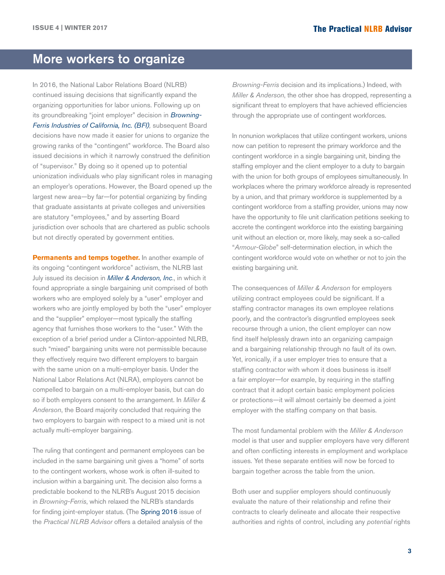### <span id="page-2-0"></span>More workers to organize

In 2016, the National Labor Relations Board (NLRB) continued issuing decisions that significantly expand the organizing opportunities for labor unions. Following up on its groundbreaking "joint employer" decision in *[Browning-](http://hr.cch.com/ELD/BrowningFerris.pdf)[Ferris Industries of California, Inc. \(BFI\)](http://hr.cch.com/ELD/BrowningFerris.pdf),* subsequent Board decisions have now made it easier for unions to organize the growing ranks of the "contingent" workforce. The Board also issued decisions in which it narrowly construed the definition of "supervisor." By doing so it opened up to potential unionization individuals who play significant roles in managing an employer's operations. However, the Board opened up the largest new area—by far—for potential organizing by finding that graduate assistants at private colleges and universities are statutory "employees," and by asserting Board jurisdiction over schools that are chartered as public schools but not directly operated by government entities.

**Permanents and temps together.** In another example of its ongoing "contingent workforce" activism, the NLRB last July issued its decision in *[Miller & Anderson, Inc](http://hr.cch.com/ELD/MillerAnderson071116.pdf)*., in which it found appropriate a single bargaining unit comprised of both workers who are employed solely by a "user" employer and workers who are jointly employed by both the "user" employer and the "supplier" employer—most typically the staffing agency that furnishes those workers to the "user." With the exception of a brief period under a Clinton-appointed NLRB, such "mixed" bargaining units were not permissible because they effectively require two different employers to bargain with the same union on a multi-employer basis. Under the National Labor Relations Act (NLRA), employers cannot be compelled to bargain on a multi-employer basis, but can do so if both employers consent to the arrangement. In *Miller & Anderson*, the Board majority concluded that requiring the two employers to bargain with respect to a mixed unit is not actually multi-employer bargaining.

The ruling that contingent and permanent employees can be included in the same bargaining unit gives a "home" of sorts to the contingent workers, whose work is often ill-suited to inclusion within a bargaining unit. The decision also forms a predictable bookend to the NLRB's August 2015 decision in *Browning-Ferris*, which relaxed the NLRB's standards for finding joint-employer status. (The [Spring 2016](http://www.ogletreedeakins.com/practices/~/media/51271e11141a438ca8136e17d8c534da.ashx) issue of the *Practical NLRB Advisor* offers a detailed analysis of the

*Browning-Ferris* decision and its implications.) Indeed, with *Miller & Anderson*, the other shoe has dropped, representing a significant threat to employers that have achieved efficiencies through the appropriate use of contingent workforces.

In nonunion workplaces that utilize contingent workers, unions now can petition to represent the primary workforce and the contingent workforce in a single bargaining unit, binding the staffing employer and the client employer to a duty to bargain with the union for both groups of employees simultaneously. In workplaces where the primary workforce already is represented by a union, and that primary workforce is supplemented by a contingent workforce from a staffing provider, unions may now have the opportunity to file unit clarification petitions seeking to accrete the contingent workforce into the existing bargaining unit without an election or, more likely, may seek a so-called "*Armour-Globe*" self-determination election, in which the contingent workforce would vote on whether or not to join the existing bargaining unit.

The consequences of *Miller & Anderson* for employers utilizing contract employees could be significant. If a staffing contractor manages its own employee relations poorly, and the contractor's disgruntled employees seek recourse through a union, the client employer can now find itself helplessly drawn into an organizing campaign and a bargaining relationship through no fault of its own. Yet, ironically, if a user employer tries to ensure that a staffing contractor with whom it does business is itself a fair employer—for example, by requiring in the staffing contract that it adopt certain basic employment policies or protections—it will almost certainly be deemed a joint employer with the staffing company on that basis.

The most fundamental problem with the *Miller & Anderson*  model is that user and supplier employers have very different and often conflicting interests in employment and workplace issues. Yet these separate entities will now be forced to bargain together across the table from the union.

Both user and supplier employers should continuously evaluate the nature of their relationship and refine their contracts to clearly delineate and allocate their respective authorities and rights of control, including any *potential* rights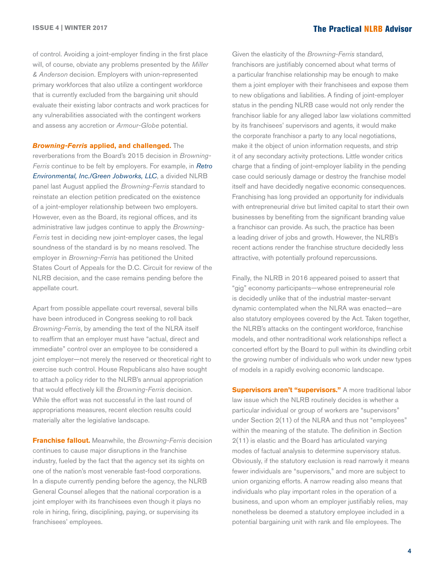of control. Avoiding a joint-employer finding in the first place will, of course, obviate any problems presented by the *Miller & Anderson* decision. Employers with union-represented primary workforces that also utilize a contingent workforce that is currently excluded from the bargaining unit should evaluate their existing labor contracts and work practices for any vulnerabilities associated with the contingent workers and assess any accretion or *Armour-Globe* potential.

*Browning-Ferris* **applied, and challenged.** The reverberations from the Board's 2015 decision in *Browning-Ferris* continue to be felt by employers. For example, in *[Retro](http://hr.cch.com/ELD/RetroEnvironmental081616.pdf) [Environmental, Inc./Green Jobworks, LLC](http://hr.cch.com/ELD/RetroEnvironmental081616.pdf)*, a divided NLRB panel last August applied the *Browning-Ferris* standard to reinstate an election petition predicated on the existence of a joint-employer relationship between two employers. However, even as the Board, its regional offices, and its administrative law judges continue to apply the *Browning-Ferris* test in deciding new joint-employer cases, the legal soundness of the standard is by no means resolved. The employer in *Browning-Ferris* has petitioned the United States Court of Appeals for the D.C. Circuit for review of the NLRB decision, and the case remains pending before the appellate court.

Apart from possible appellate court reversal, several bills have been introduced in Congress seeking to roll back *Browning-Ferris*, by amending the text of the NLRA itself to reaffirm that an employer must have "actual, direct and immediate" control over an employee to be considered a joint employer—not merely the reserved or theoretical right to exercise such control. House Republicans also have sought to attach a policy rider to the NLRB's annual appropriation that would effectively kill the *Browning-Ferris* decision. While the effort was not successful in the last round of appropriations measures, recent election results could materially alter the legislative landscape.

**Franchise fallout.** Meanwhile, the *Browning-Ferris* decision continues to cause major disruptions in the franchise industry, fueled by the fact that the agency set its sights on one of the nation's most venerable fast-food corporations. In a dispute currently pending before the agency, the NLRB General Counsel alleges that the national corporation is a joint employer with its franchisees even though it plays no role in hiring, firing, disciplining, paying, or supervising its franchisees' employees.

Given the elasticity of the *Browning-Ferris* standard, franchisors are justifiably concerned about what terms of a particular franchise relationship may be enough to make them a joint employer with their franchisees and expose them to new obligations and liabilities. A finding of joint-employer status in the pending NLRB case would not only render the franchisor liable for any alleged labor law violations committed by its franchisees' supervisors and agents, it would make the corporate franchisor a party to any local negotiations, make it the object of union information requests, and strip it of any secondary activity protections. Little wonder critics charge that a finding of joint-employer liability in the pending case could seriously damage or destroy the franchise model itself and have decidedly negative economic consequences. Franchising has long provided an opportunity for individuals with entrepreneurial drive but limited capital to start their own businesses by benefiting from the significant branding value a franchisor can provide. As such, the practice has been a leading driver of jobs and growth. However, the NLRB's recent actions render the franchise structure decidedly less attractive, with potentially profound repercussions.

Finally, the NLRB in 2016 appeared poised to assert that "gig" economy participants—whose entrepreneurial role is decidedly unlike that of the industrial master-servant dynamic contemplated when the NLRA was enacted—are also statutory employees covered by the Act. Taken together, the NLRB's attacks on the contingent workforce, franchise models, and other nontraditional work relationships reflect a concerted effort by the Board to pull within its dwindling orbit the growing number of individuals who work under new types of models in a rapidly evolving economic landscape.

**Supervisors aren't "supervisors."** A more traditional labor law issue which the NLRB routinely decides is whether a particular individual or group of workers are "supervisors" under Section 2(11) of the NLRA and thus not "employees" within the meaning of the statute. The definition in Section 2(11) is elastic and the Board has articulated varying modes of factual analysis to determine supervisory status. Obviously, if the statutory exclusion is read narrowly it means fewer individuals are "supervisors," and more are subject to union organizing efforts. A narrow reading also means that individuals who play important roles in the operation of a business, and upon whom an employer justifiably relies, may nonetheless be deemed a statutory employee included in a potential bargaining unit with rank and file employees. The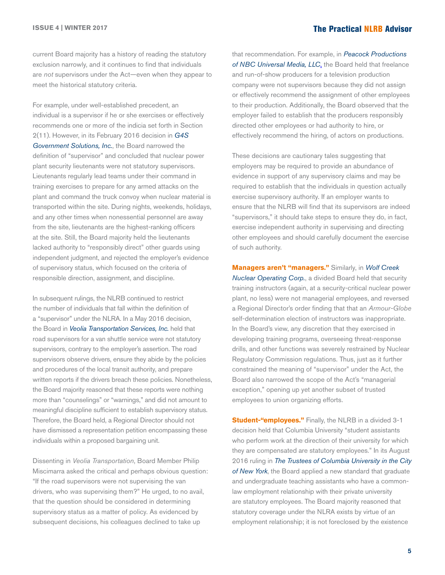current Board majority has a history of reading the statutory exclusion narrowly, and it continues to find that individuals are *not* supervisors under the Act—even when they appear to meet the historical statutory criteria.

For example, under well-established precedent, an individual is a supervisor if he or she exercises or effectively recommends one or more of the indicia set forth in Section 2(11). However, in its February 2016 decision in *[G4S](http://hr.cch.com/ELD/G4S02102016.pdf)  [Government Solutions, Inc.](http://hr.cch.com/ELD/G4S02102016.pdf)*, the Board narrowed the definition of "supervisor" and concluded that nuclear power plant security lieutenants were not statutory supervisors. Lieutenants regularly lead teams under their command in training exercises to prepare for any armed attacks on the plant and command the truck convoy when nuclear material is transported within the site. During nights, weekends, holidays, and any other times when nonessential personnel are away from the site, lieutenants are the highest-ranking officers at the site. Still, the Board majority held the lieutenants lacked authority to "responsibly direct" other guards using independent judgment, and rejected the employer's evidence of supervisory status, which focused on the criteria of responsible direction, assignment, and discipline.

In subsequent rulings, the NLRB continued to restrict the number of individuals that fall within the definition of a "supervisor" under the NLRA. In a May 2016 decision, the Board in *[Veolia Transportation Services, Inc.](http://hr.cch.com/ELD/VeoliaTransportation051216.pdf)* held that road supervisors for a van shuttle service were not statutory supervisors, contrary to the employer's assertion. The road supervisors observe drivers, ensure they abide by the policies and procedures of the local transit authority, and prepare written reports if the drivers breach these policies. Nonetheless, the Board majority reasoned that these reports were nothing more than "counselings" or "warnings," and did not amount to meaningful discipline sufficient to establish supervisory status. Therefore, the Board held, a Regional Director should not have dismissed a representation petition encompassing these individuals within a proposed bargaining unit.

Dissenting in *Veolia Transportation*, Board Member Philip Miscimarra asked the critical and perhaps obvious question: "If the road supervisors were not supervising the van drivers, who *was* supervising them?" He urged, to no avail, that the question should be considered in determining supervisory status as a matter of policy. As evidenced by subsequent decisions, his colleagues declined to take up

that recommendation. For example, in *[Peacock Productions](http://hr.cch.com/ELD/Peacock082616.pdf)  [of NBC Universal Media, LLC](http://hr.cch.com/ELD/Peacock082616.pdf)*, the Board held that freelance and run-of-show producers for a television production company were not supervisors because they did not assign or effectively recommend the assignment of other employees to their production. Additionally, the Board observed that the employer failed to establish that the producers responsibly directed other employees or had authority to hire, or effectively recommend the hiring, of actors on productions.

These decisions are cautionary tales suggesting that employers may be required to provide an abundance of evidence in support of any supervisory claims and may be required to establish that the individuals in question actually exercise supervisory authority. If an employer wants to ensure that the NLRB will find that its supervisors are indeed "supervisors," it should take steps to ensure they do, in fact, exercise independent authority in supervising and directing other employees and should carefully document the exercise of such authority.

**Managers aren't "managers."** Similarly, in *[Wolf Creek](http://hr.cch.com/ELD/WolfCreek082616.pdf)  [Nuclear Operating Corp.](http://hr.cch.com/ELD/WolfCreek082616.pdf)*, a divided Board held that security training instructors (again, at a security-critical nuclear power plant, no less) were not managerial employees, and reversed a Regional Director's order finding that that an *Armour-Globe* self-determination election of instructors was inappropriate. In the Board's view, any discretion that they exercised in developing training programs, overseeing threat-response drills, and other functions was severely restrained by Nuclear Regulatory Commission regulations. Thus, just as it further constrained the meaning of "supervisor" under the Act, the Board also narrowed the scope of the Act's "managerial exception," opening up yet another subset of trusted employees to union organizing efforts.

**Student-"employees."** Finally, the NLRB in a divided 3-1 decision held that Columbia University "student assistants who perform work at the direction of their university for which they are compensated are statutory employees." In its August 2016 ruling in *[The Trustees of Columbia University in the City](http://hr.cch.com/ELD/ColumbiaUniversity082316.pdf)  [of New York](http://hr.cch.com/ELD/ColumbiaUniversity082316.pdf)*, the Board applied a new standard that graduate and undergraduate teaching assistants who have a commonlaw employment relationship with their private university are statutory employees. The Board majority reasoned that statutory coverage under the NLRA exists by virtue of an employment relationship; it is not foreclosed by the existence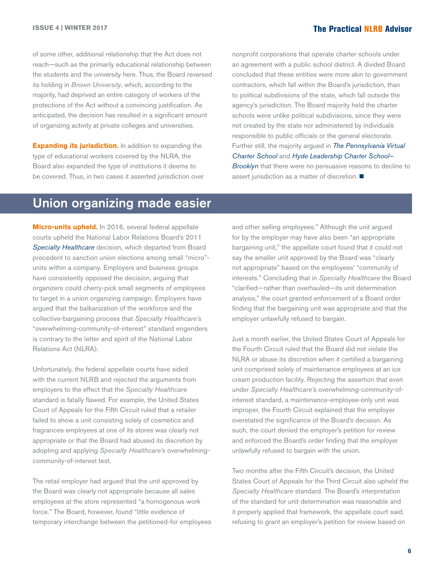<span id="page-5-0"></span>of some other, additional relationship that the Act does not reach—such as the primarily educational relationship between the students and the university here. Thus, the Board reversed its holding in *Brown University*, which, according to the majority, had deprived an entire category of workers of the protections of the Act without a convincing justification. As anticipated, the decision has resulted in a significant amount of organizing activity at private colleges and universities.

**Expanding its jurisdiction.** In addition to expanding the type of educational workers covered by the NLRA, the Board also expanded the type of institutions it deems to be covered. Thus, in two cases it asserted jurisdiction over

nonprofit corporations that operate charter schools under an agreement with a public school district. A divided Board concluded that these entities were more akin to government contractors, which fall within the Board's jurisdiction, than to political subdivisions of the state, which fall outside the agency's jurisdiction. The Board majority held the charter schools were unlike political subdivisions, since they were not created by the state nor administered by individuals responsible to public officials or the general electorate. Further still, the majority argued in *[The Pennsylvania Virtual](http://hr.cch.com/ELD/PennsylvaniaCharter082416.pdf)  [Charter School](http://hr.cch.com/ELD/PennsylvaniaCharter082416.pdf)* and *[Hyde Leadership Charter School–](http://hr.cch.com/ELD/HydeLeadership082416.pdf) [Brooklyn](http://hr.cch.com/ELD/HydeLeadership082416.pdf)* that there were no persuasive reasons to decline to assert jurisdiction as a matter of discretion.  $\blacksquare$ 

### Union organizing made easier

**Micro-units upheld.** In 2016, several federal appellate courts upheld the National Labor Relations Board's 2011 *[Specialty Healthcare](http://hr.cch.com/eld/SpecialtyHealthcare.pdf)* decision, which departed from Board precedent to sanction union elections among small "micro" units within a company. Employers and business groups have consistently opposed the decision, arguing that organizers could cherry-pick small segments of employees to target in a union organizing campaign. Employers have argued that the balkanization of the workforce and the collective-bargaining process that *Specialty Healthcare's*  "overwhelming-community-of-interest" standard engenders is contrary to the letter and spirit of the National Labor Relations Act (NLRA).

Unfortunately, the federal appellate courts have sided with the current NLRB and rejected the arguments from employers to the effect that the *Specialty Healthcare*  standard is fatally flawed. For example, the United States Court of Appeals for the Fifth Circuit ruled that a retailer failed to show a unit consisting solely of cosmetics and fragrances employees at one of its stores was clearly not appropriate or that the Board had abused its discretion by adopting and applying *Specialty Healthcare's* overwhelmingcommunity-of-interest test.

The retail employer had argued that the unit approved by the Board was clearly not appropriate because all sales employees at the store represented "a homogenous work force." The Board, however, found "little evidence of temporary interchange between the petitioned-for employees

and other selling employees." Although the unit argued for by the employer may have also been "an appropriate bargaining unit," the appellate court found that it could not say the smaller unit approved by the Board was "clearly not appropriate" based on the employees' "community of interests." Concluding that in *Specialty Healthcare* the Board "clarified—rather than overhauled—its unit determination analysis," the court granted enforcement of a Board order finding that the bargaining unit was appropriate and that the employer unlawfully refused to bargain.

Just a month earlier, the United States Court of Appeals for the Fourth Circuit ruled that the Board did not violate the NLRA or abuse its discretion when it certified a bargaining unit comprised solely of maintenance employees at an ice cream production facility. Rejecting the assertion that even under *Specialty Healthcare's* overwhelming-community-ofinterest standard, a maintenance-employee-only unit was improper, the Fourth Circuit explained that the employer overstated the significance of the Board's decision. As such, the court denied the employer's petition for review and enforced the Board's order finding that the employer unlawfully refused to bargain with the union.

Two months after the Fifth Circuit's decision, the United States Court of Appeals for the Third Circuit also upheld the *Specialty Healthcare* standard. The Board's interpretation of the standard for unit determination was reasonable and it properly applied that framework, the appellate court said, refusing to grant an employer's petition for review based on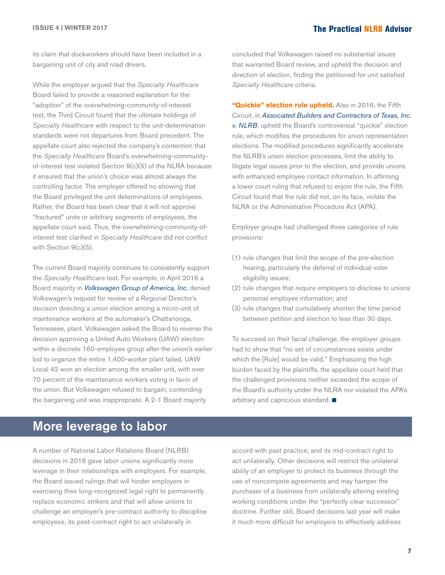<span id="page-6-0"></span>its claim that dockworkers should have been included in a bargaining unit of city and road drivers.

While the employer argued that the *Specialty Healthcare* Board failed to provide a reasoned explanation for the "adoption" of the overwhelming-community-of-interest test, the Third Circuit found that the ultimate holdings of *Specialty Healthcare* with respect to the unit-determination standards were not departures from Board precedent. The appellate court also rejected the company's contention that the *Specialty Healthcare* Board's overwhelming-communityof-interest test violated Section 9(c)(5) of the NLRA because it ensured that the union's choice was almost always the controlling factor. The employer offered no showing that the Board privileged the unit determinations of employees. Rather, the Board has been clear that it will not approve "fractured" units or arbitrary segments of employees, the appellate court said. Thus, the overwhelming-community-ofinterest test clarified in *Specialty Healthcare* did not conflict with Section 9(c)(5).

The current Board majority continues to consistently support the *Specialty Healthcare* test. For example, in April 2016 a Board majority in *[Volkswagen Group of America, Inc.](http://hr.cch.com/ELD/VolkswagenUAW041316.pdf)* denied Volkswagen's request for review of a Regional Director's decision directing a union election among a micro-unit of maintenance workers at the automaker's Chattanooga, Tennessee, plant. Volkswagen asked the Board to reverse the decision approving a United Auto Workers (UAW) election within a discrete 160-employee group after the union's earlier bid to organize the entire 1,400-worker plant failed. UAW Local 42 won an election among the smaller unit, with over 70 percent of the maintenance workers voting in favor of the union. But Volkswagen refused to bargain, contending the bargaining unit was inappropriate. A 2-1 Board majority

concluded that Volkswagen raised no substantial issues that warranted Board review, and upheld the decision and direction of election, finding the petitioned-for unit satisfied *Specialty Healthcare* criteria.

**"Quickie" election rule upheld.** Also in 2016, the Fifth Circuit, in *[Associated Builders and Contractors of Texas, Inc.](http://hr.cch.com/ELD/BuildersNLRB061016.pdf)  [v. NLRB](http://hr.cch.com/ELD/BuildersNLRB061016.pdf)*, upheld the Board's controversial "quickie" election rule, which modifies the procedures for union representation elections. The modified procedures significantly accelerate the NLRB's union election processes, limit the ability to litigate legal issues prior to the election, and provide unions with enhanced employee contact information. In affirming a lower court ruling that refused to enjoin the rule, the Fifth Circuit found that the rule did not, on its face, violate the NLRA or the Administrative Procedure Act (APA).

Employer groups had challenged three categories of rule provisions:

- (1) rule changes that limit the scope of the pre-election hearing, particularly the deferral of individual voter eligibility issues;
- (2) rule changes that require employers to disclose to unions personal employee information; and
- (3) rule changes that cumulatively shorten the time period between petition and election to less than 30 days.

To succeed on their facial challenge, the employer groups had to show that "no set of circumstances exists under which the [Rule] would be valid." Emphasizing the high burden faced by the plaintiffs, the appellate court held that the challenged provisions neither exceeded the scope of the Board's authority under the NLRA nor violated the APA's arbitrary and capricious standard.  $\blacksquare$ 

### More leverage to labor

A number of National Labor Relations Board (NLRB) decisions in 2016 gave labor unions significantly more leverage in their relationships with employers. For example, the Board issued rulings that will hinder employers in exercising their long-recognized legal right to permanently replace economic strikers and that will allow unions to challenge an employer's pre-contract authority to discipline employees, its post-contract right to act unilaterally in

accord with past practice, and its mid-contract right to act unilaterally. Other decisions will restrict the unilateral ability of an employer to protect its business through the use of noncompete agreements and may hamper the purchaser of a business from unilaterally altering existing working conditions under the "perfectly clear successor" doctrine. Further still, Board decisions last year will make it much more difficult for employers to effectively address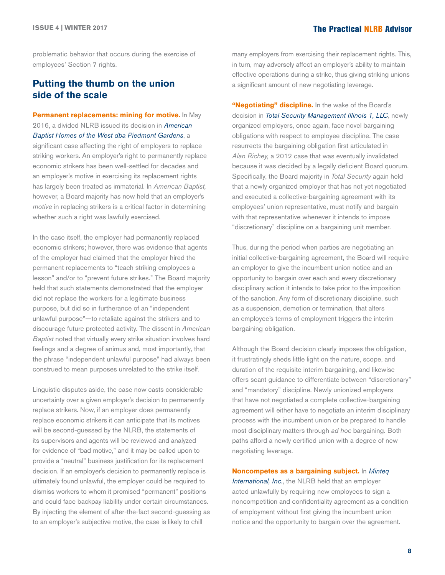problematic behavior that occurs during the exercise of employees' Section 7 rights.

### **Putting the thumb on the union side of the scale**

**Permanent replacements: mining for motive.** In May 2016, a divided NLRB issued its decision in *[American](http://hr.cch.com/ELD/AmericanBaptistHomes053116.pdf)  [Baptist Homes of the West dba Piedmont Gardens](http://hr.cch.com/ELD/AmericanBaptistHomes053116.pdf)*, a significant case affecting the right of employers to replace striking workers. An employer's right to permanently replace economic strikers has been well-settled for decades and an employer's motive in exercising its replacement rights has largely been treated as immaterial. In *American Baptist,*  however, a Board majority has now held that an employer's *motive* in replacing strikers is a critical factor in determining whether such a right was lawfully exercised.

In the case itself, the employer had permanently replaced economic strikers; however, there was evidence that agents of the employer had claimed that the employer hired the permanent replacements to "teach striking employees a lesson" and/or to "prevent future strikes." The Board majority held that such statements demonstrated that the employer did not replace the workers for a legitimate business purpose, but did so in furtherance of an "independent unlawful purpose"—to retaliate against the strikers and to discourage future protected activity. The dissent in *American Baptist* noted that virtually every strike situation involves hard feelings and a degree of animus and, most importantly, that the phrase "independent unlawful purpose" had always been construed to mean purposes unrelated to the strike itself.

Linguistic disputes aside, the case now casts considerable uncertainty over a given employer's decision to permanently replace strikers. Now, if an employer does permanently replace economic strikers it can anticipate that its motives will be second-guessed by the NLRB, the statements of its supervisors and agents will be reviewed and analyzed for evidence of "bad motive," and it may be called upon to provide a "neutral" business justification for its replacement decision. If an employer's decision to permanently replace is ultimately found unlawful, the employer could be required to dismiss workers to whom it promised "permanent" positions and could face backpay liability under certain circumstances. By injecting the element of after-the-fact second-guessing as to an employer's subjective motive, the case is likely to chill

many employers from exercising their replacement rights. This, in turn, may adversely affect an employer's ability to maintain effective operations during a strike, thus giving striking unions a significant amount of new negotiating leverage.

**"Negotiating" discipline.** In the wake of the Board's decision in *[Total Security Management Illinois 1, LLC](http://hr.cch.com/ELD/TotalSecMgmt0822616.pdf)*, newly organized employers, once again, face novel bargaining obligations with respect to employee discipline. The case resurrects the bargaining obligation first articulated in *Alan Richey,* a 2012 case that was eventually invalidated because it was decided by a legally deficient Board quorum. Specifically, the Board majority in *Total Security* again held that a newly organized employer that has not yet negotiated and executed a collective-bargaining agreement with its employees' union representative, must notify and bargain with that representative whenever it intends to impose "discretionary" discipline on a bargaining unit member.

Thus, during the period when parties are negotiating an initial collective-bargaining agreement, the Board will require an employer to give the incumbent union notice and an opportunity to bargain over each and every discretionary disciplinary action it intends to take prior to the imposition of the sanction. Any form of discretionary discipline, such as a suspension, demotion or termination, that alters an employee's terms of employment triggers the interim bargaining obligation.

Although the Board decision clearly imposes the obligation, it frustratingly sheds little light on the nature, scope, and duration of the requisite interim bargaining, and likewise offers scant guidance to differentiate between "discretionary" and "mandatory" discipline. Newly unionized employers that have not negotiated a complete collective-bargaining agreement will either have to negotiate an interim disciplinary process with the incumbent union or be prepared to handle most disciplinary matters through *ad hoc* bargaining. Both paths afford a newly certified union with a degree of new negotiating leverage.

**Noncompetes as a bargaining subject.** In *[Minteq](http://hr.cch.com/ELD/MinteqIntl072916.pdf)* 

*[International, Inc.](http://hr.cch.com/ELD/MinteqIntl072916.pdf)*, the NLRB held that an employer acted unlawfully by requiring new employees to sign a noncompetition and confidentiality agreement as a condition of employment without first giving the incumbent union notice and the opportunity to bargain over the agreement.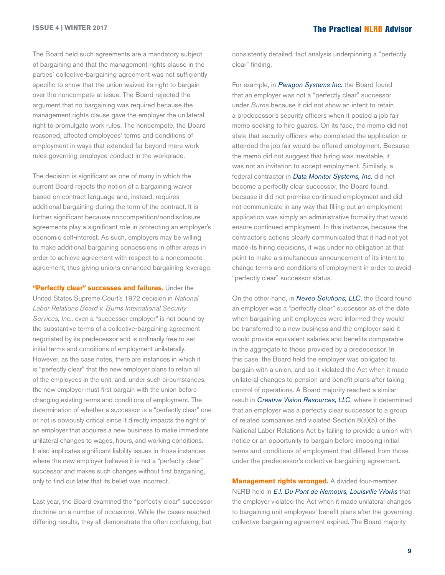The Board held such agreements are a mandatory subject of bargaining and that the management rights clause in the parties' collective-bargaining agreement was not sufficiently specific to show that the union waived its right to bargain over the noncompete at issue. The Board rejected the argument that no bargaining was required because the management rights clause gave the employer the unilateral right to promulgate work rules. The noncompete, the Board reasoned, affected employees' terms and conditions of employment in ways that extended far beyond mere work rules governing employee conduct in the workplace.

The decision is significant as one of many in which the current Board rejects the notion of a bargaining waiver based on contract language and, instead, requires additional bargaining during the term of the contract. It is further significant because noncompetition/nondisclosure agreements play a significant role in protecting an employer's economic self-interest. As such, employers may be willing to make additional bargaining concessions in other areas in order to achieve agreement with respect to a noncompete agreement, thus giving unions enhanced bargaining leverage.

**"Perfectly clear" successes and failures.** Under the United States Supreme Court's 1972 decision in *National Labor Relations Board v. Burns International Security Services, Inc.,* even a "successor employer" is not bound by the substantive terms of a collective-bargaining agreement negotiated by its predecessor and is ordinarily free to set initial terms and conditions of employment unilaterally. However, as the case notes, there are instances in which it is "perfectly clear" that the new employer plans to retain all of the employees in the unit, and, under such circumstances, the new employer must first bargain with the union before changing existing terms and conditions of employment. The determination of whether a successor is a "perfectly clear" one or not is obviously critical since it directly impacts the right of an employer that acquires a new business to make immediate unilateral changes to wages, hours, and working conditions. It also implicates significant liability issues in those instances where the new employer believes it is not a "perfectly clear" successor and makes such changes without first bargaining, only to find out later that its belief was incorrect.

Last year, the Board examined the "perfectly clear" successor doctrine on a number of occasions. While the cases reached differing results, they all demonstrate the often confusing, but

consistently detailed, fact analysis underpinning a "perfectly clear" finding.

For example, in *[Paragon Systems Inc.](http://hr.cch.com/ELD/ParagonSystems082616.pdf)* the Board found that an employer was not a "perfectly clear" successor under *Burns* because it did not show an intent to retain a predecessor's security officers when it posted a job fair memo seeking to hire guards. On its face, the memo did not state that security officers who completed the application or attended the job fair would be offered employment. Because the memo did not suggest that hiring was inevitable, it was not an invitation to accept employment. Similarly, a federal contractor in *[Data Monitor Systems, Inc.](http://hr.cch.com/ELD/DataMonitorSystems053116.pdf)* did not become a perfectly clear successor, the Board found, because it did not promise continued employment and did not communicate in any way that filling out an employment application was simply an administrative formality that would ensure continued employment. In this instance, because the contractor's actions clearly communicated that it had not yet made its hiring decisions, it was under no obligation at that point to make a simultaneous announcement of its intent to change terms and conditions of employment in order to avoid "perfectly clear" successor status.

On the other hand, in *[Nexeo Solutions, LLC](http://hr.cch.com/ELD/Nexeo071716.pdf)*, the Board found an employer was a "perfectly clear" successor as of the date when bargaining unit employees were informed they would be transferred to a new business and the employer said it would provide equivalent salaries and benefits comparable in the aggregate to those provided by a predecessor. In this case, the Board held the employer was obligated to bargain with a union, and so it violated the Act when it made unilateral changes to pension and benefit plans after taking control of operations. A Board majority reached a similar result in *[Creative Vision Resources, LLC](http://hr.cch.com/ELD/CreativeVision082616.pdf)*, where it determined that an employer was a perfectly clear successor to a group of related companies and violated Section 8(a)(5) of the National Labor Relations Act by failing to provide a union with notice or an opportunity to bargain before imposing initial terms and conditions of employment that differed from those under the predecessor's collective-bargaining agreement.

**Management rights wronged.** A divided four-member NLRB held in *[E.I. Du Pont de Nemours, Louisville Works](http://hr.cch.com/ELD/EIDuPont082616.pdf)* that the employer violated the Act when it made unilateral changes to bargaining unit employees' benefit plans after the governing collective-bargaining agreement expired. The Board majority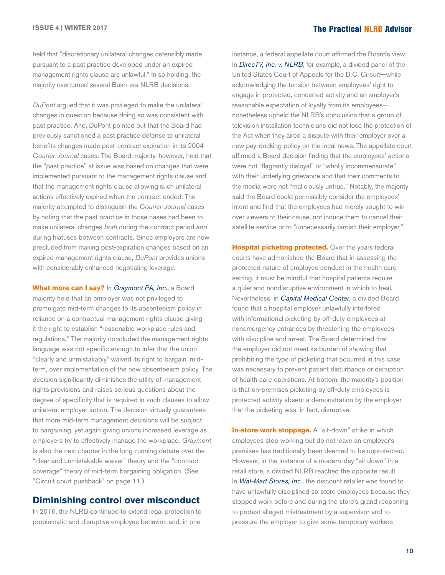held that "discretionary unilateral changes ostensibly made pursuant to a past practice developed under an expired management rights clause are unlawful." In so holding, the majority overturned several Bush-era NLRB decisions.

*DuPont* argued that it was privileged to make the unilateral changes in question because doing so was consistent with past practice. And, DuPont pointed out that the Board had previously sanctioned a past practice defense to unilateral benefits changes made post-contract expiration in its 2004 *Courier-Journal* cases. The Board majority, however, held that the "past practice" at issue was based on changes that were implemented pursuant to the management rights clause and that the management rights clause allowing such unilateral actions effectively expired when the contract ended. The majority attempted to distinguish the *Courier-Journal* cases by noting that the past practice in those cases had been to make unilateral changes *both* during the contract period *and* during hiatuses between contracts. Since employers are now precluded from making post-expiration changes based on an expired management rights clause, *DuPont* provides unions with considerably enhanced negotiating leverage.

**What more can I say?** In *[Graymont PA, Inc.](http://hr.cch.com/ELD/GraymontPA062916.pdf)*, a Board majority held that an employer was not privileged to promulgate mid-term changes to its absenteeism policy in reliance on a contractual management rights clause giving it the right to establish "reasonable workplace rules and regulations." The majority concluded the management rights language was not specific enough to infer that the union "clearly and unmistakably" waived its right to bargain, midterm, over implementation of the new absenteeism policy. The decision significantly diminishes the utility of management rights provisions and raises serious questions about the degree of specificity that is required in such clauses to allow unilateral employer action. The decision virtually guarantees that more mid-term management decisions will be subject to bargaining, yet again giving unions increased leverage as employers try to effectively manage the workplace. *Graymont*  is also the next chapter in the long-running debate over the "clear and unmistakable waiver" theory and the "contract coverage" theory of mid-term bargaining obligation. (See "Circuit court pushback" on page 11.)

### **Diminishing control over misconduct**

In 2016, the NLRB continued to extend legal protection to problematic and disruptive employee behavior, and, in one

instance, a federal appellate court affirmed the Board's view. In *[DirecTV, Inc. v. NLRB](http://hr.cch.com/ELD/DirecTVNLRB091616.pdf)*, for example, a divided panel of the United States Court of Appeals for the D.C. Circuit—while acknowledging the tension between employees' right to engage in protected, concerted activity and an employer's reasonable expectation of loyalty from its employees nonetheless upheld the NLRB's conclusion that a group of television installation technicians did not lose the protection of the Act when they aired a dispute with their employer over a new pay-docking policy on the local news. The appellate court affirmed a Board decision finding that the employees' actions were not "flagrantly disloyal" or "wholly incommensurate" with their underlying grievance and that their comments to the media were not "maliciously untrue." Notably, the majority said the Board could permissibly consider the employees' intent and find that the employees had merely sought to win over viewers to their cause, not induce them to cancel their satellite service or to "unnecessarily tarnish their employer."

**Hospital picketing protected.** Over the years federal courts have admonished the Board that in assessing the protected nature of employee conduct in the health care setting, it must be mindful that hospital patients require a quiet and nondisruptive environment in which to heal. Nevertheless, in *[Capital Medical Center](http://hr.cch.com/ELD/CapitalMedicalCenter081216.pdf)*, a divided Board found that a hospital employer unlawfully interfered with informational picketing by off-duty employees at nonemergency entrances by threatening the employees with discipline and arrest. The Board determined that the employer did not meet its burden of showing that prohibiting the type of picketing that occurred in this case was necessary to prevent patient disturbance or disruption of health care operations. At bottom, the majority's position is that on-premises picketing by off-duty employees is protected activity absent a demonstration by the employer that the picketing was, in fact, disruptive.

**In-store work stoppage.** A "sit-down" strike in which employees stop working but do not leave an employer's premises has traditionally been deemed to be unprotected. However, in the instance of a modern-day "sit down" in a retail store, a divided NLRB reached the opposite result. In *[Wal-Mart Stores, Inc.](http://hr.cch.com/ELD/WalmartStores082716.pdf)*, the discount retailer was found to have unlawfully disciplined six store employees because they stopped work before and during the store's grand reopening to protest alleged mistreatment by a supervisor and to pressure the employer to give some temporary workers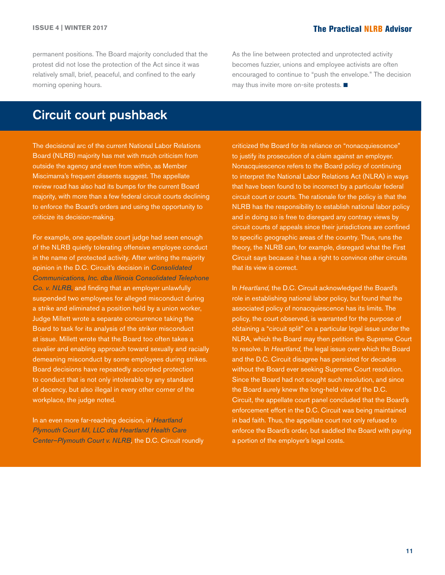permanent positions. The Board majority concluded that the protest did not lose the protection of the Act since it was relatively small, brief, peaceful, and confined to the early morning opening hours.

As the line between protected and unprotected activity becomes fuzzier, unions and employee activists are often encouraged to continue to "push the envelope." The decision may thus invite more on-site protests.  $\blacksquare$ 

## Circuit court pushback

The decisional arc of the current National Labor Relations Board (NLRB) majority has met with much criticism from outside the agency and even from within, as Member Miscimarra's frequent dissents suggest. The appellate review road has also had its bumps for the current Board majority, with more than a few federal circuit courts declining to enforce the Board's orders and using the opportunity to criticize its decision-making.

For example, one appellate court judge had seen enough of the NLRB quietly tolerating offensive employee conduct in the name of protected activity. After writing the majority opinion in the D.C. Circuit's decision in *[Consolidated](http://hr.cch.com/ELD/ConsolidatedNLRB091316.pdf)  [Communications, Inc. dba Illinois Consolidated Telephone](http://hr.cch.com/ELD/ConsolidatedNLRB091316.pdf)  [Co. v. NLRB](http://hr.cch.com/ELD/ConsolidatedNLRB091316.pdf)*, and finding that an employer unlawfully suspended two employees for alleged misconduct during a strike and eliminated a position held by a union worker, Judge Millett wrote a separate concurrence taking the Board to task for its analysis of the striker misconduct at issue. Millett wrote that the Board too often takes a cavalier and enabling approach toward sexually and racially demeaning misconduct by some employees during strikes. Board decisions have repeatedly accorded protection to conduct that is not only intolerable by any standard of decency, but also illegal in every other corner of the workplace, the judge noted.

In an even more far-reaching decision, in *[Heartland](http://hr.cch.com/ELD/HeartlandNLRB.pdf)  [Plymouth Court MI, LLC dba Heartland Health Care](http://hr.cch.com/ELD/HeartlandNLRB.pdf)  [Center–Plymouth Court v. NLRB](http://hr.cch.com/ELD/HeartlandNLRB.pdf),* the D.C. Circuit roundly criticized the Board for its reliance on "nonacquiescence" to justify its prosecution of a claim against an employer. Nonacquiescence refers to the Board policy of continuing to interpret the National Labor Relations Act (NLRA) in ways that have been found to be incorrect by a particular federal circuit court or courts. The rationale for the policy is that the NLRB has the responsibility to establish national labor policy and in doing so is free to disregard any contrary views by circuit courts of appeals since their jurisdictions are confined to specific geographic areas of the country. Thus, runs the theory, the NLRB can, for example, disregard what the First Circuit says because it has a right to convince other circuits that its view is correct.

In *Heartland,* the D.C. Circuit acknowledged the Board's role in establishing national labor policy, but found that the associated policy of nonacquiescence has its limits. The policy, the court observed, is warranted for the purpose of obtaining a "circuit split" on a particular legal issue under the NLRA, which the Board may then petition the Supreme Court to resolve. In *Heartland,* the legal issue over which the Board and the D.C. Circuit disagree has persisted for decades without the Board ever seeking Supreme Court resolution. Since the Board had not sought such resolution, and since the Board surely knew the long-held view of the D.C. Circuit, the appellate court panel concluded that the Board's enforcement effort in the D.C. Circuit was being maintained in bad faith. Thus, the appellate court not only refused to enforce the Board's order, but saddled the Board with paying a portion of the employer's legal costs.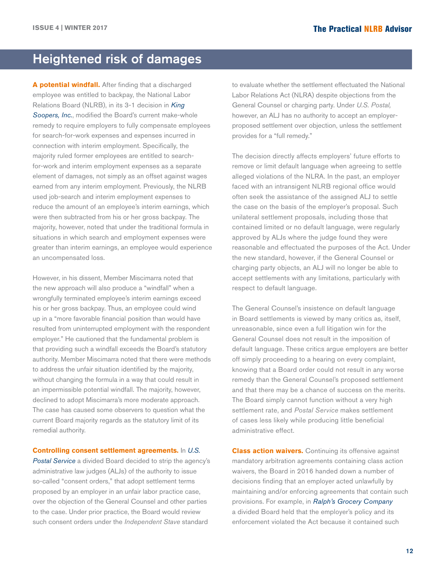### <span id="page-11-0"></span>Heightened risk of damages

**A potential windfall.** After finding that a discharged employee was entitled to backpay, the National Labor Relations Board (NLRB), in its 3-1 decision in *[King](http://hr.cch.com/ELD/KingSoopers082416.pdf)  [Soopers, Inc.](http://hr.cch.com/ELD/KingSoopers082416.pdf)*, modified the Board's current make-whole remedy to require employers to fully compensate employees for search-for-work expenses and expenses incurred in connection with interim employment. Specifically, the majority ruled former employees are entitled to searchfor-work and interim employment expenses as a separate element of damages, not simply as an offset against wages earned from any interim employment. Previously, the NLRB used job-search and interim employment expenses to reduce the amount of an employee's interim earnings, which were then subtracted from his or her gross backpay. The majority, however, noted that under the traditional formula in situations in which search and employment expenses were greater than interim earnings, an employee would experience an uncompensated loss.

However, in his dissent, Member Miscimarra noted that the new approach will also produce a "windfall" when a wrongfully terminated employee's interim earnings exceed his or her gross backpay. Thus, an employee could wind up in a "more favorable financial position than would have resulted from uninterrupted employment with the respondent employer." He cautioned that the fundamental problem is that providing such a windfall exceeds the Board's statutory authority. Member Miscimarra noted that there were methods to address the unfair situation identified by the majority, without changing the formula in a way that could result in an impermissible potential windfall. The majority, however, declined to adopt Miscimarra's more moderate approach. The case has caused some observers to question what the current Board majority regards as the statutory limit of its remedial authority.

**Controlling consent settlement agreements.** In *[U.S.](http://hr.cch.com/ELD/USPostalServ082716.pdf)  [Postal Service](http://hr.cch.com/ELD/USPostalServ082716.pdf)* a divided Board decided to strip the agency's administrative law judges (ALJs) of the authority to issue so-called "consent orders," that adopt settlement terms proposed by an employer in an unfair labor practice case, over the objection of the General Counsel and other parties to the case. Under prior practice, the Board would review such consent orders under the *Independent Stave* standard

to evaluate whether the settlement effectuated the National Labor Relations Act (NLRA) despite objections from the General Counsel or charging party. Under *U.S. Postal,*  however, an ALJ has no authority to accept an employerproposed settlement over objection, unless the settlement provides for a "full remedy."

The decision directly affects employers' future efforts to remove or limit default language when agreeing to settle alleged violations of the NLRA. In the past, an employer faced with an intransigent NLRB regional office would often seek the assistance of the assigned ALJ to settle the case on the basis of the employer's proposal. Such unilateral settlement proposals, including those that contained limited or no default language, were regularly approved by ALJs where the judge found they were reasonable and effectuated the purposes of the Act. Under the new standard, however, if the General Counsel or charging party objects, an ALJ will no longer be able to accept settlements with any limitations, particularly with respect to default language.

The General Counsel's insistence on default language in Board settlements is viewed by many critics as, itself, unreasonable, since even a full litigation win for the General Counsel does not result in the imposition of default language. These critics argue employers are better off simply proceeding to a hearing on every complaint, knowing that a Board order could not result in any worse remedy than the General Counsel's proposed settlement and that there may be a chance of success on the merits. The Board simply cannot function without a very high settlement rate, and *Postal Service* makes settlement of cases less likely while producing little beneficial administrative effect.

**Class action waivers.** Continuing its offensive against mandatory arbitration agreements containing class action waivers, the Board in 2016 handed down a number of decisions finding that an employer acted unlawfully by maintaining and/or enforcing agreements that contain such provisions. For example, in *[Ralph's Grocery Company](http://hr.cch.com/ELD/Ralphs022316.pdf)* a divided Board held that the employer's policy and its enforcement violated the Act because it contained such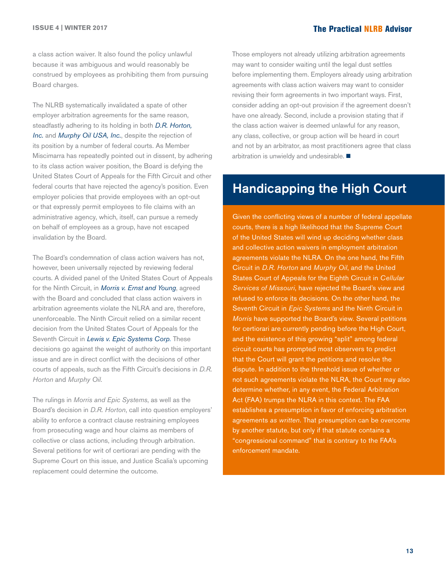a class action waiver. It also found the policy unlawful because it was ambiguous and would reasonably be construed by employees as prohibiting them from pursuing Board charges.

The NLRB systematically invalidated a spate of other employer arbitration agreements for the same reason, steadfastly adhering to its holding in both *[D.R. Horton,](http://hr.cch.com/eld/DRHorton.pdf)  [Inc.](http://hr.cch.com/eld/DRHorton.pdf)* and *[Murphy Oil USA, Inc.](http://hr.cch.com/ELD/MurphyOil.pdf)*, despite the rejection of its position by a number of federal courts. As Member Miscimarra has repeatedly pointed out in dissent, by adhering to its class action waiver position, the Board is defying the United States Court of Appeals for the Fifth Circuit and other federal courts that have rejected the agency's position. Even employer policies that provide employees with an opt-out or that expressly permit employees to file claims with an administrative agency, which, itself, can pursue a remedy on behalf of employees as a group, have not escaped invalidation by the Board.

The Board's condemnation of class action waivers has not, however, been universally rejected by reviewing federal courts. A divided panel of the United States Court of Appeals for the Ninth Circuit, in *[Morris v. Ernst and Young](http://hr.cch.com/ELD/MorrisErnst082216.pdf)*, agreed with the Board and concluded that class action waivers in arbitration agreements violate the NLRA and are, therefore, unenforceable. The Ninth Circuit relied on a similar recent decision from the United States Court of Appeals for the Seventh Circuit in *[Lewis v. Epic Systems Corp](http://hr.cch.com/ELD/LewisEpic052616.pdf).* These decisions go against the weight of authority on this important issue and are in direct conflict with the decisions of other courts of appeals, such as the Fifth Circuit's decisions in *D.R. Horton* and *Murphy Oil.*

The rulings in *Morris and Epic Systems*, as well as the Board's decision in *D.R. Horton*, call into question employers' ability to enforce a contract clause restraining employees from prosecuting wage and hour claims as members of collective or class actions, including through arbitration. Several petitions for writ of certiorari are pending with the Supreme Court on this issue, and Justice Scalia's upcoming replacement could determine the outcome.

Those employers not already utilizing arbitration agreements may want to consider waiting until the legal dust settles before implementing them. Employers already using arbitration agreements with class action waivers may want to consider revising their form agreements in two important ways. First, consider adding an opt-out provision if the agreement doesn't have one already. Second, include a provision stating that if the class action waiver is deemed unlawful for any reason, any class, collective, or group action will be heard in court and not by an arbitrator, as most practitioners agree that class arbitration is unwieldy and undesirable.  $\blacksquare$ 

### Handicapping the High Court

Given the conflicting views of a number of federal appellate courts, there is a high likelihood that the Supreme Court of the United States will wind up deciding whether class and collective action waivers in employment arbitration agreements violate the NLRA. On the one hand, the Fifth Circuit in *D.R. Horton* and *Murphy Oil*, and the United States Court of Appeals for the Eighth Circuit in *Cellular Services of Missouri*, have rejected the Board's view and refused to enforce its decisions. On the other hand, the Seventh Circuit in *Epic Systems* and the Ninth Circuit in *Morris* have supported the Board's view. Several petitions for certiorari are currently pending before the High Court, and the existence of this growing "split" among federal circuit courts has prompted most observers to predict that the Court will grant the petitions and resolve the dispute. In addition to the threshold issue of whether or not such agreements violate the NLRA, the Court may also determine whether, in any event, the Federal Arbitration Act (FAA) trumps the NLRA in this context. The FAA establishes a presumption in favor of enforcing arbitration agreements *as written*. That presumption can be overcome by another statute, but only if that statute contains a "congressional command" that is contrary to the FAA's enforcement mandate.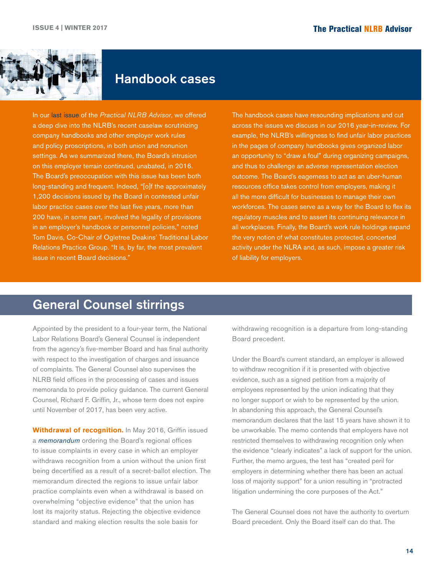<span id="page-13-0"></span>

### Handbook cases

In our [last issue](http://www.ogletreedeakins.com/practices/~/media/f77f06a66c3a4e35a1944e9d4573d240.ashx) of the *Practical NLRB Advisor*, we offered a deep dive into the NLRB's recent caselaw scrutinizing company handbooks and other employer work rules and policy proscriptions, in both union and nonunion settings. As we summarized there, the Board's intrusion on this employer terrain continued, unabated, in 2016. The Board's preoccupation with this issue has been both long-standing and frequent. Indeed, "[o]f the approximately 1,200 decisions issued by the Board in contested unfair labor practice cases over the last five years, more than 200 have, in some part, involved the legality of provisions in an employer's handbook or personnel policies," noted Tom Davis, Co-Chair of Ogletree Deakins' Traditional Labor Relations Practice Group. "It is, by far, the most prevalent issue in recent Board decisions."

The handbook cases have resounding implications and cut across the issues we discuss in our 2016 year-in-review. For example, the NLRB's willingness to find unfair labor practices in the pages of company handbooks gives organized labor an opportunity to "draw a foul" during organizing campaigns, and thus to challenge an adverse representation election outcome. The Board's eagerness to act as an uber-human resources office takes control from employers, making it all the more difficult for businesses to manage their own workforces. The cases serve as a way for the Board to flex its regulatory muscles and to assert its continuing relevance in all workplaces. Finally, the Board's work rule holdings expand the very notion of what constitutes protected, concerted activity under the NLRA and, as such, impose a greater risk of liability for employers.

## General Counsel stirrings

Appointed by the president to a four-year term, the National Labor Relations Board's General Counsel is independent from the agency's five-member Board and has final authority with respect to the investigation of charges and issuance of complaints. The General Counsel also supervises the NLRB field offices in the processing of cases and issues memoranda to provide policy guidance. The current General Counsel, Richard F. Griffin, Jr., whose term does not expire until November of 2017, has been very active.

**Withdrawal of recognition.** In May 2016, Griffin issued a *[memorandum](http://hr.cch.com/ELD/GC1603SeekingBoardReconsideration.pdf)* ordering the Board's regional offices to issue complaints in every case in which an employer withdraws recognition from a union without the union first being decertified as a result of a secret-ballot election. The memorandum directed the regions to issue unfair labor practice complaints even when a withdrawal is based on overwhelming "objective evidence" that the union has lost its majority status. Rejecting the objective evidence standard and making election results the sole basis for

withdrawing recognition is a departure from long-standing Board precedent.

Under the Board's current standard, an employer is allowed to withdraw recognition if it is presented with objective evidence, such as a signed petition from a majority of employees represented by the union indicating that they no longer support or wish to be represented by the union. In abandoning this approach, the General Counsel's memorandum declares that the last 15 years have shown it to be unworkable. The memo contends that employers have not restricted themselves to withdrawing recognition only when the evidence "clearly indicates" a lack of support for the union. Further, the memo argues, the test has "created peril for employers in determining whether there has been an actual loss of majority support" for a union resulting in "protracted litigation undermining the core purposes of the Act."

The General Counsel does not have the authority to overturn Board precedent. Only the Board itself can do that. The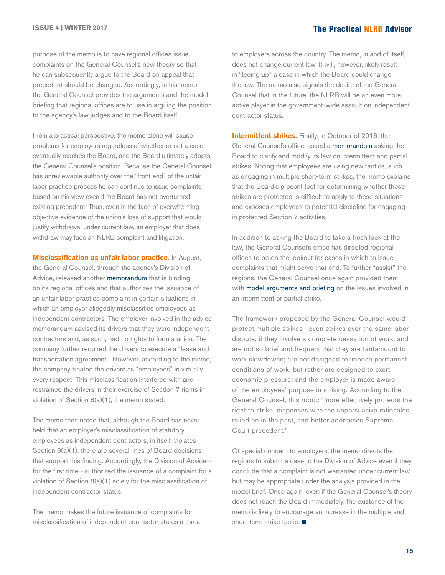purpose of the memo is to have regional offices issue complaints on the General Counsel's new theory so that he can subsequently argue to the Board on appeal that precedent should be changed. Accordingly, in his memo, the General Counsel provides the arguments and the model briefing that regional offices are to use in arguing the position to the agency's law judges and to the Board itself.

From a practical perspective, the memo alone will cause problems for employers regardless of whether or not a case eventually reaches the Board, and the Board ultimately adopts the General Counsel's position. Because the General Counsel has unreviewable authority over the "front end" of the unfair labor practice process he can continue to issue complaints based on his view even if the Board has not overturned existing precedent. Thus, even in the face of overwhelming objective evidence of the union's loss of support that would justify withdrawal under current law, an employer that does withdraw may face an NLRB complaint and litigation.

**Misclassification as unfair labor practice.** In August, the General Counsel, through the agency's Division of Advice, released another [memorandum](http://hr.cch.com/ELD/AdvicememoPac921_CA_150875_12_08_15_.pdf) that is binding on its regional offices and that authorizes the issuance of an unfair labor practice complaint in certain situations in which an employer allegedly misclassifies employees as independent contractors. The employer involved in the advice memorandum advised its drivers that they were independent contractors and, as such, had no rights to form a union. The company further required the drivers to execute a "lease and transportation agreement." However, according to the memo, the company treated the drivers as "employees" in virtually every respect. This misclassification interfered with and restrained the drivers in their exercise of Section 7 rights in violation of Section 8(a)(1), the memo stated.

The memo then noted that, although the Board has never held that an employer's misclassification of statutory employees as independent contractors, in itself, violates Section 8(a)(1), there are several lines of Board decisions that support this finding. Accordingly, the Division of Advice for the first time—authorized the issuance of a complaint for a violation of Section 8(a)(1) solely for the misclassification of independent contractor status.

The memo makes the future issuance of complaints for misclassification of independent contractor status a threat to employers across the country. The memo, in and of itself, does not change current law. It will, however, likely result in "teeing up" a case in which the Board could change the law. The memo also signals the desire of the General Counsel that in the future, the NLRB will be an even more active player in the government-wide assault on independent contractor status.

**Intermittent strikes.** Finally, in October of 2016, the General Counsel's office issued a [memorandum](http://hr.cch.com/ELD/ModelBriefOM10316.pdf) asking the Board to clarify and modify its law on intermittent and partial strikes. Noting that employees are using new tactics, such as engaging in multiple short-term strikes, the memo explains that the Board's present test for determining whether these strikes are protected is difficult to apply to these situations and exposes employees to potential discipline for engaging in protected Section 7 activities.

In addition to asking the Board to take a fresh look at the law, the General Counsel's office has directed regional offices to be on the lookout for cases in which to issue complaints that might serve that end. To further "assist" the regions, the General Counsel once again provided them with [model arguments and briefing](http://hr.cch.com/ELD/IntermittentStrikesInsert.pdf) on the issues involved in an intermittent or partial strike.

The framework proposed by the General Counsel would protect multiple strikes—even strikes over the same labor dispute, if they involve a complete cessation of work, and are not so brief and frequent that they are tantamount to work slowdowns; are not designed to impose permanent conditions of work, but rather are designed to exert economic pressure; and the employer is made aware of the employees' purpose in striking. According to the General Counsel, this rubric "more effectively protects the right to strike, dispenses with the unpersuasive rationales relied on in the past, and better addresses Supreme Court precedent."

Of special concern to employers, the memo directs the regions to submit a case to the Division of Advice even if they conclude that a complaint is not warranted under current law but may be appropriate under the analysis provided in the model brief. Once again, even if the General Counsel's theory does not reach the Board immediately, the existence of the memo is likely to encourage an increase in the multiple and short-term strike tactic.  $\blacksquare$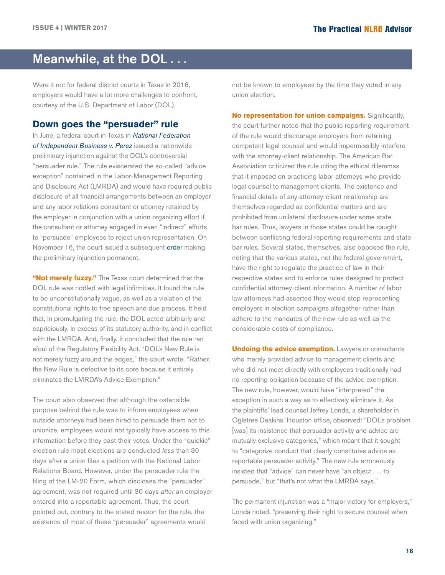# <span id="page-15-0"></span>Meanwhile, at the DOL . . .

Were it not for federal district courts in Texas in 2016, employers would have a lot more challenges to confront, courtesy of the U.S. Department of Labor (DOL).

#### **Down goes the "persuader" rule**

In June, a federal court in Texas in *[National Federation](http://hr.cch.com/ELD/NFIBPerez_062716.pdf)  [of Independent Business v. Perez](http://hr.cch.com/ELD/NFIBPerez_062716.pdf)* issued a nationwide preliminary injunction against the DOL's controversial "persuader rule." The rule eviscerated the so-called "advice exception" contained in the Labor-Management Reporting and Disclosure Act (LMRDA) and would have required public disclosure of all financial arrangements between an employer and any labor relations consultant or attorney retained by the employer in conjunction with a union organizing effort if the consultant or attorney engaged in even "indirect" efforts to "persuade" employees to reject union representation. On November 16, the court issued a subsequent [order](http://hr.cch.com/ELD/NFIB-DOL-Ordergrantingsummaryjudgment.pdf) making the preliminary injunction permanent.

**"Not merely fuzzy."** The Texas court determined that the DOL rule was riddled with legal infirmities. It found the rule to be unconstitutionally vague, as well as a violation of the constitutional rights to free speech and due process. It held that, in promulgating the rule, the DOL acted arbitrarily and capriciously, in excess of its statutory authority, and in conflict with the LMRDA. And, finally, it concluded that the rule ran afoul of the Regulatory Flexibility Act. "DOL's New Rule is not merely fuzzy around the edges," the court wrote. "Rather, the New Rule is defective to its core because it entirely eliminates the LMRDA's Advice Exemption."

The court also observed that although the ostensible purpose behind the rule was to inform employees when outside attorneys had been hired to persuade them not to unionize, employees would not typically have access to this information before they cast their votes. Under the "quickie" election rule most elections are conducted *less* than 30 days after a union files a petition with the National Labor Relations Board. However, under the persuader rule the filing of the LM-20 Form, which discloses the "persuader" agreement, was not required until 30 days *after* an employer entered into a reportable agreement. Thus, the court pointed out, contrary to the stated reason for the rule, the existence of most of these "persuader" agreements would

not be known to employees by the time they voted in any union election.

**No representation for union campaigns.** Significantly, the court further noted that the public reporting requirement of the rule would discourage employers from retaining competent legal counsel and would impermissibly interfere with the attorney-client relationship. The American Bar Association criticized the rule citing the ethical dilemmas that it imposed on practicing labor attorneys who provide legal counsel to management clients. The existence and financial details of any attorney-client relationship are themselves regarded as confidential matters and are prohibited from unilateral disclosure under some state bar rules. Thus, lawyers in those states could be caught between conflicting federal reporting requirements and state bar rules. Several states, themselves, also opposed the rule, noting that the various states, not the federal government, have the right to regulate the practice of law in their respective states and to enforce rules designed to protect confidential attorney-client information. A number of labor law attorneys had asserted they would stop representing employers in election campaigns altogether rather than adhere to the mandates of the new rule as well as the considerable costs of compliance.

**Undoing the advice exemption.** Lawyers or consultants who merely provided advice to management clients and who did not meet directly with employees traditionally had no reporting obligation because of the advice exemption. The new rule, however, would have "interpreted" the exception in such a way as to effectively eliminate it. As the plaintiffs' lead counsel Jeffrey Londa, a shareholder in Ogletree Deakins' Houston office, observed: "DOL's problem [was] its insistence that persuader activity and advice are mutually exclusive categories," which meant that it sought to "categorize conduct that clearly constitutes advice as reportable persuader activity." The new rule erroneously insisted that "advice" can never have "an object . . . to persuade," but "that's not what the LMRDA says."

The permanent injunction was a "major victory for employers," Londa noted, "preserving their right to secure counsel when faced with union organizing."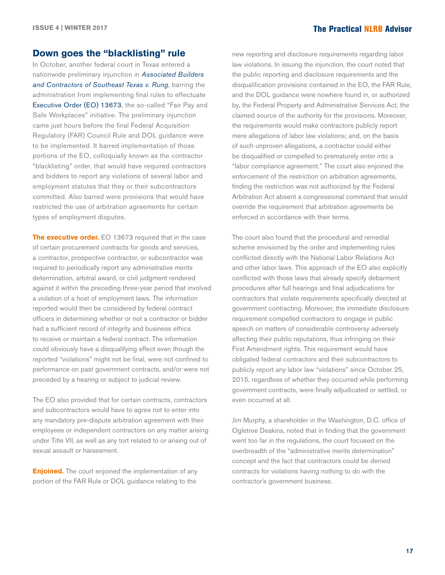#### **Down goes the "blacklisting" rule**

In October, another federal court in Texas entered a nationwide preliminary injunction in *[Associated Builders](http://hr.cch.com/eld/AssociatedBuildersRung102416.pdf)  [and Contractors of Southeast Texas v. Rung](http://hr.cch.com/eld/AssociatedBuildersRung102416.pdf)*, barring the administration from implementing final rules to effectuate [Executive Order \(EO\) 13673](https://www.whitehouse.gov/the-press-office/2014/07/31/executive-order-fair-pay-and-safe-workplaces), the so-called "Fair Pay and Safe Workplaces" initiative. The preliminary injunction came just hours before the final Federal Acquisition Regulatory (FAR) Council Rule and DOL guidance were to be implemented. It barred implementation of those portions of the EO, colloquially known as the contractor "blacklisting" order, that would have required contractors and bidders to report any violations of several labor and employment statutes that they or their subcontractors committed. Also barred were provisions that would have restricted the use of arbitration agreements for certain types of employment disputes.

**The executive order.** EO 13673 required that in the case of certain procurement contracts for goods and services, a contractor, prospective contractor, or subcontractor was required to periodically report any administrative merits determination, arbitral award, or civil judgment rendered against it within the preceding three-year period that involved a violation of a host of employment laws. The information reported would then be considered by federal contract officers in determining whether or not a contractor or bidder had a sufficient record of integrity and business ethics to receive or maintain a federal contract. The information could obviously have a disqualifying effect even though the reported "violations" might not be final, were not confined to performance on past government contracts, and/or were not preceded by a hearing or subject to judicial review.

The EO also provided that for certain contracts, contractors and subcontractors would have to agree not to enter into any mandatory pre-dispute arbitration agreement with their employees or independent contractors on any matter arising under Title VII, as well as any tort related to or arising out of sexual assault or harassment.

**Enjoined.** The court enjoined the implementation of any portion of the FAR Rule or DOL guidance relating to the

new reporting and disclosure requirements regarding labor law violations. In issuing the injunction, the court noted that the public reporting and disclosure requirements and the disqualification provisions contained in the EO, the FAR Rule, and the DOL guidance were nowhere found in, or authorized by, the Federal Property and Administrative Services Act, the claimed source of the authority for the provisions. Moreover, the requirements would make contractors publicly report mere allegations of labor law violations; and, on the basis of such unproven allegations, a contractor could either be disqualified or compelled to prematurely enter into a "labor compliance agreement." The court also enjoined the enforcement of the restriction on arbitration agreements, finding the restriction was not authorized by the Federal Arbitration Act absent a congressional command that would override the requirement that arbitration agreements be enforced in accordance with their terms.

The court also found that the procedural and remedial scheme envisioned by the order and implementing rules conflicted directly with the National Labor Relations Act and other labor laws. This approach of the EO also explicitly conflicted with those laws that already specify debarment procedures after full hearings and final adjudications for contractors that violate requirements specifically directed at government contracting. Moreover, the immediate disclosure requirement compelled contractors to engage in public speech on matters of considerable controversy adversely affecting their public reputations, thus infringing on their First Amendment rights. This requirement would have obligated federal contractors and their subcontractors to publicly report any labor law "violations" since October 25, 2015, regardless of whether they occurred while performing government contracts, were finally adjudicated or settled, or even occurred at all.

Jim Murphy, a shareholder in the Washington, D.C. office of Ogletree Deakins, noted that in finding that the government went too far in the regulations, the court focused on the overbreadth of the "administrative merits determination" concept and the fact that contractors could be denied contracts for violations having nothing to do with the contractor's government business.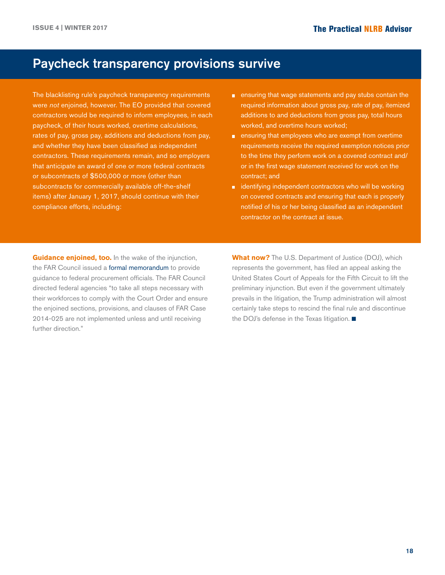### Paycheck transparency provisions survive

The blacklisting rule's paycheck transparency requirements were *not* enjoined, however. The EO provided that covered contractors would be required to inform employees, in each paycheck, of their hours worked, overtime calculations, rates of pay, gross pay, additions and deductions from pay, and whether they have been classified as independent contractors. These requirements remain, and so employers that anticipate an award of one or more federal contracts or subcontracts of \$500,000 or more (other than subcontracts for commercially available off-the-shelf items) after January 1, 2017, should continue with their compliance efforts, including:

- ensuring that wage statements and pay stubs contain the required information about gross pay, rate of pay, itemized additions to and deductions from gross pay, total hours worked, and overtime hours worked;
- **EXECUTE:** ensuring that employees who are exempt from overtime requirements receive the required exemption notices prior to the time they perform work on a covered contract and/ or in the first wage statement received for work on the contract; and
- $\blacksquare$  identifying independent contractors who will be working on covered contracts and ensuring that each is properly notified of his or her being classified as an independent contractor on the contract at issue.

**Guidance enjoined, too.** In the wake of the injunction, the FAR Council issued a [formal memorandum](http://hr.cch.com/eld/2016-30091.pdf) to provide guidance to federal procurement officials. The FAR Council directed federal agencies "to take all steps necessary with their workforces to comply with the Court Order and ensure the enjoined sections, provisions, and clauses of FAR Case 2014-025 are not implemented unless and until receiving further direction."

**What now?** The U.S. Department of Justice (DOJ), which represents the government, has filed an appeal asking the United States Court of Appeals for the Fifth Circuit to lift the preliminary injunction. But even if the government ultimately prevails in the litigation, the Trump administration will almost certainly take steps to rescind the final rule and discontinue the DOJ's defense in the Texas litigation.  $\blacksquare$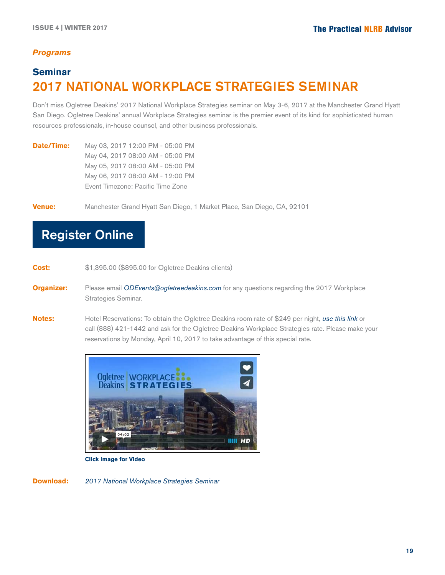### *Programs*

### **Seminar** 2017 National Workplace Strategies Seminar

Don't miss Ogletree Deakins' 2017 National Workplace Strategies seminar on May 3-6, 2017 at the Manchester Grand Hyatt San Diego. Ogletree Deakins' annual Workplace Strategies seminar is the premier event of its kind for sophisticated human resources professionals, in-house counsel, and other business professionals.

**Date/Time:** May 03, 2017 12:00 PM - 05:00 PM May 04, 2017 08:00 AM - 05:00 PM May 05, 2017 08:00 AM - 05:00 PM May 06, 2017 08:00 AM - 12:00 PM Event Timezone: Pacific Time Zone

**Venue:** Manchester Grand Hyatt San Diego, 1 Market Place, San Diego, CA, 92101

### Register Online

**Cost:** \$1,395.00 (\$895.00 for Ogletree Deakins clients)

**Organizer:** Please email *ODEvents@ogletreedeakins.com* for any questions regarding the 2017 Workplace Strategies Seminar.

**Notes:** Hotel Reservations: To obtain the Ogletree Deakins room rate of \$249 per night, *[use this link](https://resweb.passkey.com/go/2017OgletreeDeakins)* or call (888) 421-1442 and ask for the Ogletree Deakins Workplace Strategies rate. Please make your reservations by Monday, April 10, 2017 to take advantage of this special rate.



 **Click image for Video**

**Download:** *[2017 National Workplace Strategies Seminar](http://www.ogletreedeakins.com/~/media/ogletree/programs-pdf/2017-national-workplace-strategies-seminar.ashx)*